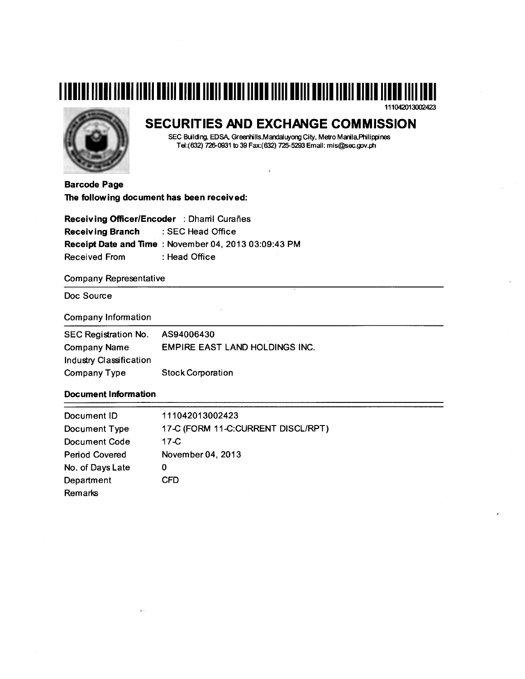# **1111111111111111111111111111111111111111111111111111111111111111111111111111111111111**  111042013002423



# **SECURITIES AND EXCHANGE COMMISSION**

SEC Building, EDSA, Greenhills,Mandaluyong City, Metro Manila,Philippines Tel:(632) 726-0931 to 39 Fax:(632) 725-5293 Email: mis@sec.gov.ph

 $\overline{a}$ 

Barcode Page The following document has been received:

Receiving Officer/Encoder : Dharril Curañes Receiving Branch : SEC Head Office Receipt Date and Time : November 04, 2013 03:09:43 PM Received From : Head Office

Company Representative

Doc Source

## Company Information

| SEC Registration No.    | AS94006430                            |
|-------------------------|---------------------------------------|
| <b>Company Name</b>     | <b>EMPIRE EAST LAND HOLDINGS INC.</b> |
| Industry Classification |                                       |
| <b>Company Type</b>     | <b>Stock Corporation</b>              |

# Document Information

| Document ID           | 111042013002423                    |
|-----------------------|------------------------------------|
| Document Type         | 17-C (FORM 11-C:CURRENT DISCL/RPT) |
| Document Code         | 17- $C$                            |
| <b>Period Covered</b> | November 04, 2013                  |
| No. of Days Late      | 0                                  |
| Department            | CFD                                |
| Remarks               |                                    |